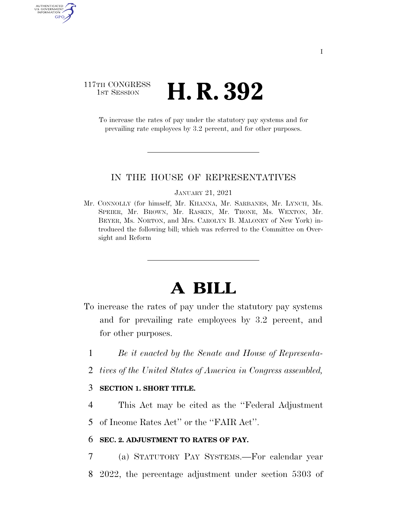## 117TH CONGRESS **1ST SESSION <b>H. R. 392**

AUTHENTICATED<br>U.S. GOVERNMENT<br>INFORMATION GPO

> To increase the rates of pay under the statutory pay systems and for prevailing rate employees by 3.2 percent, and for other purposes.

### IN THE HOUSE OF REPRESENTATIVES

#### JANUARY 21, 2021

Mr. CONNOLLY (for himself, Mr. KHANNA, Mr. SARBANES, Mr. LYNCH, Ms. SPEIER, Mr. BROWN, Mr. RASKIN, Mr. TRONE, Ms. WEXTON, Mr. BEYER, Ms. NORTON, and Mrs. CAROLYN B. MALONEY of New York) introduced the following bill; which was referred to the Committee on Oversight and Reform

# **A BILL**

- To increase the rates of pay under the statutory pay systems and for prevailing rate employees by 3.2 percent, and for other purposes.
	- 1 *Be it enacted by the Senate and House of Representa-*
	- 2 *tives of the United States of America in Congress assembled,*

### 3 **SECTION 1. SHORT TITLE.**

4 This Act may be cited as the ''Federal Adjustment 5 of Income Rates Act'' or the ''FAIR Act''.

### 6 **SEC. 2. ADJUSTMENT TO RATES OF PAY.**

7 (a) STATUTORY PAY SYSTEMS.—For calendar year 8 2022, the percentage adjustment under section 5303 of